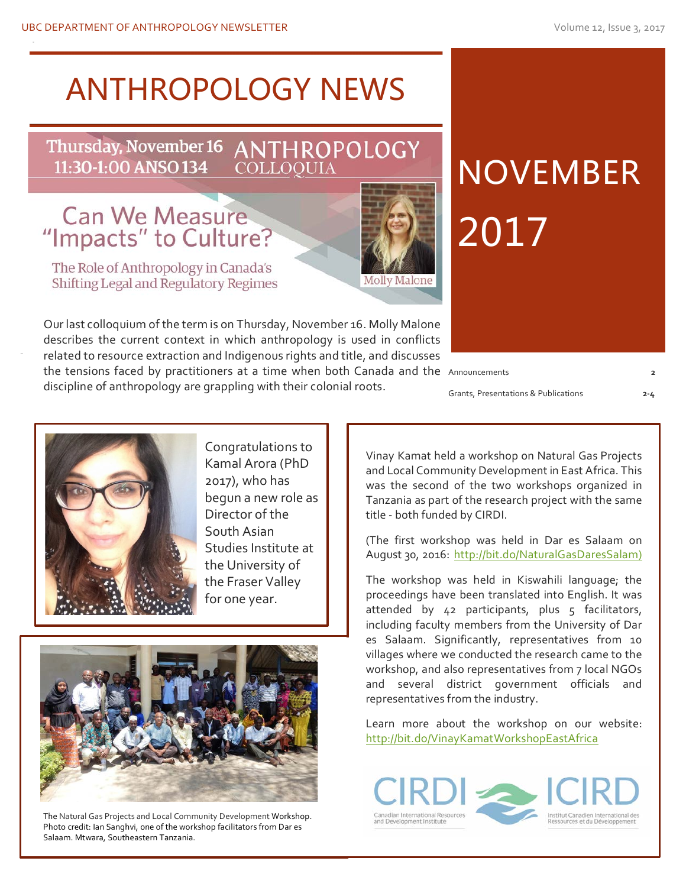# **ANTHROPOLOGY NEWS**

Thursday, November 16 ANTHROPOLOGY<br>11:30-1:00 ANSO 134 COLLOQUIA

# Can We Measure<br>"Impacts" to Culture?

The Role of Anthropology in Canada's Shifting Legal and Regulatory Regimes

the tensions faced by practitioners at a time when both Canada and the Announcements **computer the Canada Canada** Our last colloquium of the term is on Thursday, November 16. Molly Malone describes the current context in which anthropology is used in conflicts related to resource extraction and Indigenous rights and title, and discusses discipline of anthropology are grappling with their colonial roots.

Molly Malone

Grants, Presentations & Publications **2-4**

2017

**NOVEMBER** 





Congratulations to Kamal Arora (PhD 2017), who has begun a new role as Director of the South Asian Studies Institute at the University of the Fraser Valley for one year.



The Natural Gas Projects and Local Community Development Workshop. Photo credit: Ian Sanghvi, one of the workshop facilitators from Dar es Salaam. Mtwara, Southeastern Tanzania.

Vinay Kamat held a workshop on Natural Gas Projects and Local Community Development in East Africa. This was the second of the two workshops organized in Tanzania as part of the research project with the same title - both funded by CIRDI.

(The first workshop was held in Dar es Salaam on August 30, 2016: http://bit.do/NaturalGasDaresSalam)

The workshop was held in Kiswahili language; the proceedings have been translated into English. It was attended by 42 participants, plus 5 facilitators, including faculty members from the University of Dar es Salaam. Significantly, representatives from 10 villages where we conducted the research came to the workshop, and also representatives from 7 local NGOs and several district government officials and representatives from the industry.

Learn more about the workshop on our website: http://bit.do/VinayKamatWorkshopEastAfrica



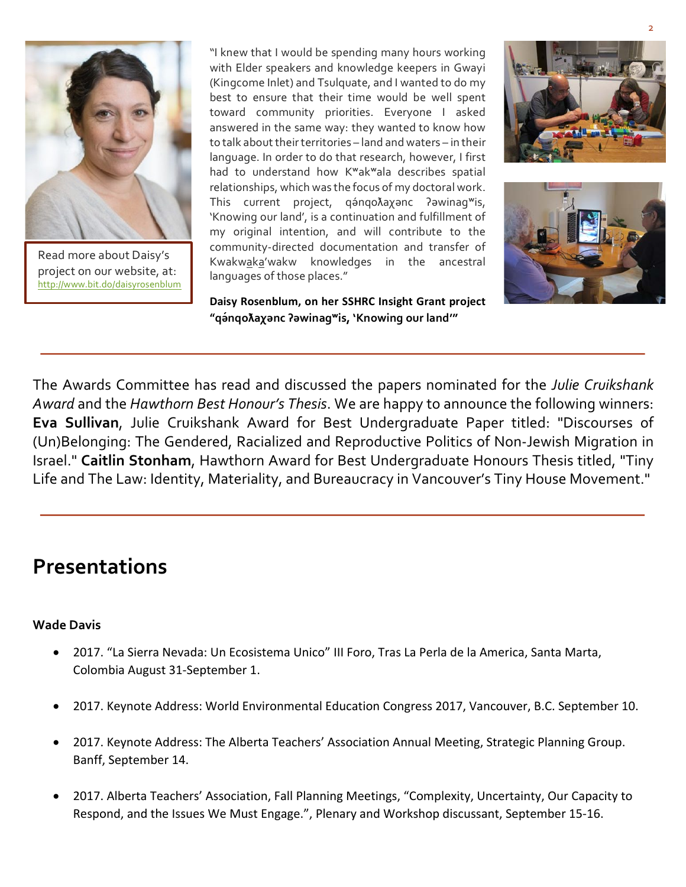

Read more about Daisy's project on our website, at: http://www.bit.do/daisyrosenblum

"I knew that I would be spending many hours working with Elder speakers and knowledge keepers in Gwayi (Kingcome Inlet) and Tsulquate, and I wanted to do my best to ensure that their time would be well spent toward community priorities. Everyone I asked answered in the same way: they wanted to know how to talk about their territories – land and waters – in their language. In order to do that research, however, I first had to understand how K<sup>w</sup>ak<sup>w</sup>ala describes spatial relationships, which was the focus of my doctoral work. This current project, qanqoλaχanc ?awinag<sup>w</sup>is, 'Knowing our land', is a continuation and fulfillment of my original intention, and will contribute to the community-directed documentation and transfer of Kwakwaka'wakw knowledges in the ancestral languages of those places."

Daisy Rosenblum, on her SSHRC Insight Grant project **"qə́ nqoƛaχənc ʔəwinagʷis, 'Knowing our land'"**





The Awards Committee has read and discussed the papers nominated for the *Julie Cruikshank Award* and the *Hawthorn Best Honour's Thesis*. We are happy to announce the following winners: **Eva Sullivan**, Julie Cruikshank Award for Best Undergraduate Paper titled: "Discourses of (Un)Belonging: The Gendered, Racialized and Reproductive Politics of Non-Jewish Migration in Israel." **Caitlin Stonham**, Hawthorn Award for Best Undergraduate Honours Thesis titled, "Tiny Life and The Law: Identity, Materiality, and Bureaucracy in Vancouver's Tiny House Movement."

## **Presentations**

#### **Wade Davis**

- 2017. "La Sierra Nevada: Un Ecosistema Unico" III Foro, Tras La Perla de la America, Santa Marta, Colombia August 31-September 1.
- 2017. Keynote Address: World Environmental Education Congress 2017, Vancouver, B.C. September 10.
- 2017. Keynote Address: The Alberta Teachers' Association Annual Meeting, Strategic Planning Group. Banff, September 14.
- 2017. Alberta Teachers' Association, Fall Planning Meetings, "Complexity, Uncertainty, Our Capacity to Respond, and the Issues We Must Engage.", Plenary and Workshop discussant, September 15-16.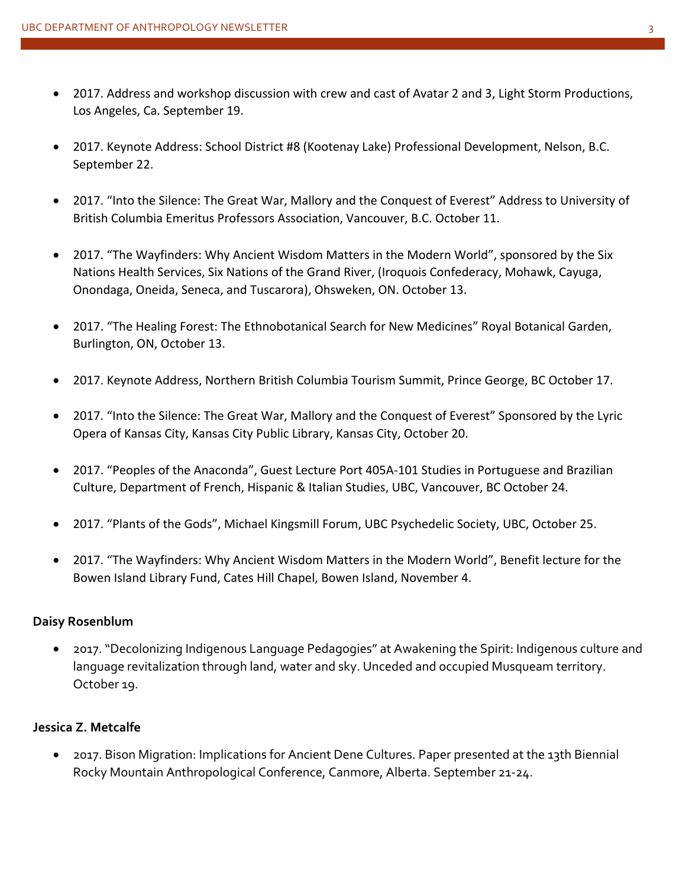- 2017. Address and workshop discussion with crew and cast of Avatar 2 and 3, Light Storm Productions, Los Angeles, Ca. September 19.
- 2017. Keynote Address: School District #8 (Kootenay Lake) Professional Development, Nelson, B.C. September 22.
- 2017. "Into the Silence: The Great War, Mallory and the Conquest of Everest" Address to University of British Columbia Emeritus Professors Association, Vancouver, B.C. October 11.
- 2017. "The Wayfinders: Why Ancient Wisdom Matters in the Modern World", sponsored by the Six Nations Health Services, Six Nations of the Grand River, (Iroquois Confederacy, Mohawk, Cayuga, Onondaga, Oneida, Seneca, and Tuscarora), Ohsweken, ON. October 13.
- 2017. "The Healing Forest: The Ethnobotanical Search for New Medicines" Royal Botanical Garden, Burlington, ON, October 13.
- 2017. Keynote Address, Northern British Columbia Tourism Summit, Prince George, BC October 17.
- 2017. "Into the Silence: The Great War, Mallory and the Conquest of Everest" Sponsored by the Lyric Opera of Kansas City, Kansas City Public Library, Kansas City, October 20.
- 2017. "Peoples of the Anaconda", Guest Lecture Port 405A-101 Studies in Portuguese and Brazilian Culture, Department of French, Hispanic & Italian Studies, UBC, Vancouver, BC October 24.
- 2017. "Plants of the Gods", Michael Kingsmill Forum, UBC Psychedelic Society, UBC, October 25.
- 2017. "The Wayfinders: Why Ancient Wisdom Matters in the Modern World", Benefit lecture for the Bowen Island Library Fund, Cates Hill Chapel, Bowen Island, November 4.

#### **Daisy Rosenblum**

• 2017. "Decolonizing Indigenous Language Pedagogies" at Awakening the Spirit: Indigenous culture and language revitalization through land, water and sky. Unceded and occupied Musqueam territory. October 19.

#### **Jessica Z. Metcalfe**

• 2017. Bison Migration: Implications for Ancient Dene Cultures. Paper presented at the 13th Biennial Rocky Mountain Anthropological Conference, Canmore, Alberta. September 21-24.